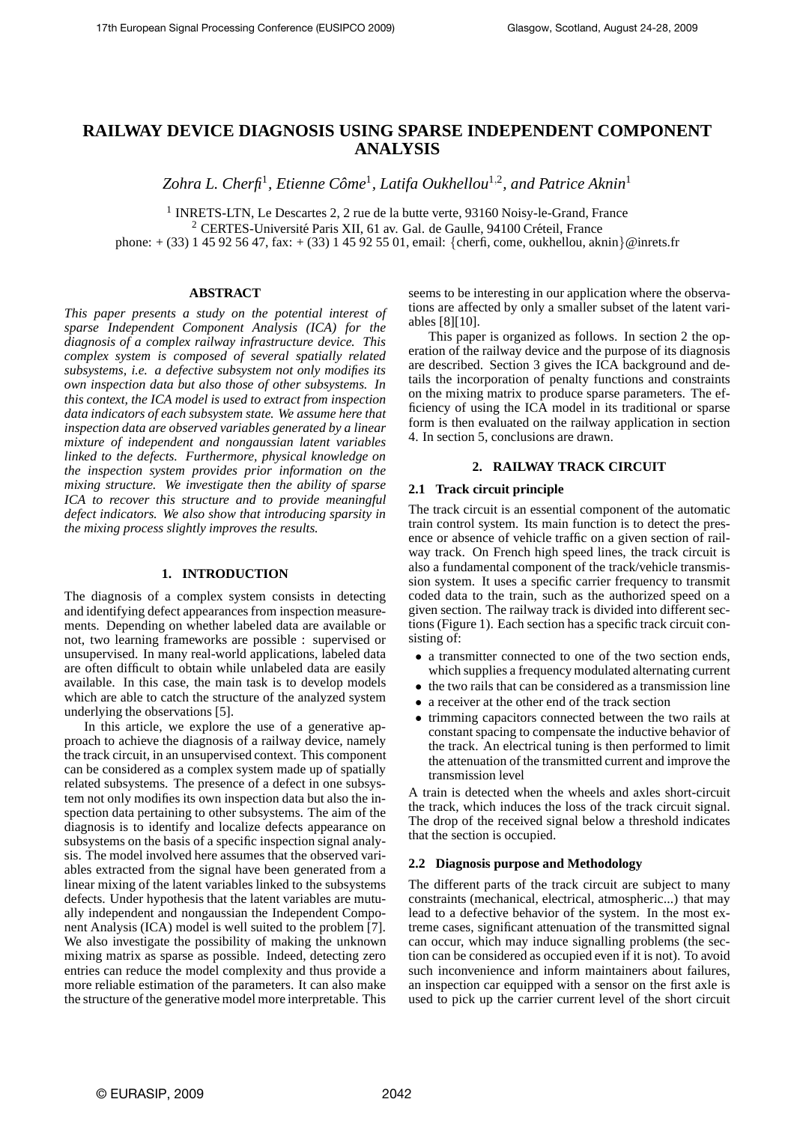# **RAILWAY DEVICE DIAGNOSIS USING SPARSE INDEPENDENT COMPONENT ANALYSIS**

*Zohra L. Cherfi*<sup>1</sup> *, Etienne Come ˆ* 1 *, Latifa Oukhellou*<sup>1</sup>,<sup>2</sup> *, and Patrice Aknin*<sup>1</sup>

<sup>1</sup> INRETS-LTN, Le Descartes 2, 2 rue de la butte verte, 93160 Noisy-le-Grand, France <sup>2</sup> CERTES-Université Paris XII, 61 av. Gal. de Gaulle, 94100 Créteil, France phone: + (33) 1 45 92 56 47, fax: + (33) 1 45 92 55 01, email: {cherfi, come, oukhellou, aknin}@inrets.fr

# **ABSTRACT**

*This paper presents a study on the potential interest of sparse Independent Component Analysis (ICA) for the diagnosis of a complex railway infrastructure device. This complex system is composed of several spatially related subsystems, i.e. a defective subsystem not only modifies its own inspection data but also those of other subsystems. In this context, the ICA model is used to extract from inspection data indicators of each subsystem state. We assume here that inspection data are observed variables generated by a linear mixture of independent and nongaussian latent variables linked to the defects. Furthermore, physical knowledge on the inspection system provides prior information on the mixing structure. We investigate then the ability of sparse ICA to recover this structure and to provide meaningful defect indicators. We also show that introducing sparsity in the mixing process slightly improves the results.*

#### **1. INTRODUCTION**

The diagnosis of a complex system consists in detecting and identifying defect appearances from inspection measurements. Depending on whether labeled data are available or not, two learning frameworks are possible : supervised or unsupervised. In many real-world applications, labeled data are often difficult to obtain while unlabeled data are easily available. In this case, the main task is to develop models which are able to catch the structure of the analyzed system underlying the observations [5].

In this article, we explore the use of a generative approach to achieve the diagnosis of a railway device, namely the track circuit, in an unsupervised context. This component can be considered as a complex system made up of spatially related subsystems. The presence of a defect in one subsystem not only modifies its own inspection data but also the inspection data pertaining to other subsystems. The aim of the diagnosis is to identify and localize defects appearance on subsystems on the basis of a specific inspection signal analysis. The model involved here assumes that the observed variables extracted from the signal have been generated from a linear mixing of the latent variables linked to the subsystems defects. Under hypothesis that the latent variables are mutually independent and nongaussian the Independent Component Analysis (ICA) model is well suited to the problem [7]. We also investigate the possibility of making the unknown mixing matrix as sparse as possible. Indeed, detecting zero entries can reduce the model complexity and thus provide a more reliable estimation of the parameters. It can also make the structure of the generative model more interpretable. This

seems to be interesting in our application where the observations are affected by only a smaller subset of the latent variables [8][10].

This paper is organized as follows. In section 2 the operation of the railway device and the purpose of its diagnosis are described. Section 3 gives the ICA background and details the incorporation of penalty functions and constraints on the mixing matrix to produce sparse parameters. The efficiency of using the ICA model in its traditional or sparse form is then evaluated on the railway application in section 4. In section 5, conclusions are drawn.

## **2. RAILWAY TRACK CIRCUIT**

#### **2.1 Track circuit principle**

The track circuit is an essential component of the automatic train control system. Its main function is to detect the presence or absence of vehicle traffic on a given section of railway track. On French high speed lines, the track circuit is also a fundamental component of the track/vehicle transmission system. It uses a specific carrier frequency to transmit coded data to the train, such as the authorized speed on a given section. The railway track is divided into different sections (Figure 1). Each section has a specific track circuit consisting of:

- a transmitter connected to one of the two section ends, which supplies a frequency modulated alternating current
- the two rails that can be considered as a transmission line
- a receiver at the other end of the track section
- trimming capacitors connected between the two rails at constant spacing to compensate the inductive behavior of the track. An electrical tuning is then performed to limit the attenuation of the transmitted current and improve the transmission level

A train is detected when the wheels and axles short-circuit the track, which induces the loss of the track circuit signal. The drop of the received signal below a threshold indicates that the section is occupied.

#### **2.2 Diagnosis purpose and Methodology**

The different parts of the track circuit are subject to many constraints (mechanical, electrical, atmospheric...) that may lead to a defective behavior of the system. In the most extreme cases, significant attenuation of the transmitted signal can occur, which may induce signalling problems (the section can be considered as occupied even if it is not). To avoid such inconvenience and inform maintainers about failures, an inspection car equipped with a sensor on the first axle is used to pick up the carrier current level of the short circuit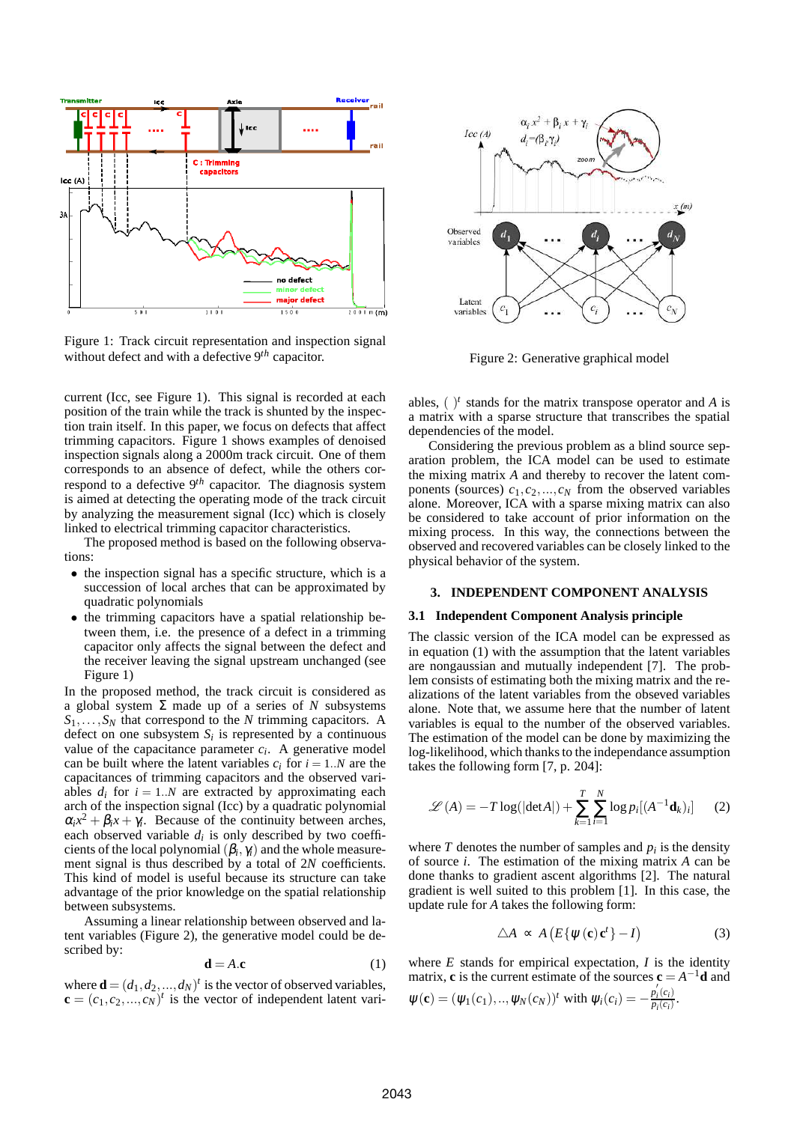

Figure 1: Track circuit representation and inspection signal without defect and with a defective 9*th* capacitor.

current (Icc, see Figure 1). This signal is recorded at each position of the train while the track is shunted by the inspection train itself. In this paper, we focus on defects that affect trimming capacitors. Figure 1 shows examples of denoised inspection signals along a 2000m track circuit. One of them corresponds to an absence of defect, while the others correspond to a defective 9*th* capacitor. The diagnosis system is aimed at detecting the operating mode of the track circuit by analyzing the measurement signal (Icc) which is closely linked to electrical trimming capacitor characteristics.

The proposed method is based on the following observations:

- the inspection signal has a specific structure, which is a succession of local arches that can be approximated by quadratic polynomials
- the trimming capacitors have a spatial relationship between them, i.e. the presence of a defect in a trimming capacitor only affects the signal between the defect and the receiver leaving the signal upstream unchanged (see Figure 1)

In the proposed method, the track circuit is considered as a global system Σ made up of a series of *N* subsystems *S*1,...,*S<sup>N</sup>* that correspond to the *N* trimming capacitors. A defect on one subsystem  $S_i$  is represented by a continuous value of the capacitance parameter  $c_i$ . A generative model can be built where the latent variables  $c_i$  for  $i = 1..N$  are the capacitances of trimming capacitors and the observed variables  $d_i$  for  $i = 1..N$  are extracted by approximating each arch of the inspection signal (Icc) by a quadratic polynomial  $\alpha_i x^2 + \beta_i x + \gamma_i$ . Because of the continuity between arches, each observed variable  $d_i$  is only described by two coefficients of the local polynomial  $(\beta_i, \gamma_i)$  and the whole measurement signal is thus described by a total of 2*N* coefficients. This kind of model is useful because its structure can take advantage of the prior knowledge on the spatial relationship between subsystems.

Assuming a linear relationship between observed and latent variables (Figure 2), the generative model could be described by:

$$
\mathbf{d} = A \cdot \mathbf{c} \tag{1}
$$

where  $\mathbf{d} = (d_1, d_2, ..., d_N)^t$  is the vector of observed variables,  $\mathbf{c} = (c_1, c_2, \dots, c_N)^t$  is the vector of independent latent vari-



Figure 2: Generative graphical model

ables,  $(y^t)$  stands for the matrix transpose operator and *A* is a matrix with a sparse structure that transcribes the spatial dependencies of the model.

Considering the previous problem as a blind source separation problem, the ICA model can be used to estimate the mixing matrix *A* and thereby to recover the latent components (sources)  $c_1, c_2, ..., c_N$  from the observed variables alone. Moreover, ICA with a sparse mixing matrix can also be considered to take account of prior information on the mixing process. In this way, the connections between the observed and recovered variables can be closely linked to the physical behavior of the system.

# **3. INDEPENDENT COMPONENT ANALYSIS**

#### **3.1 Independent Component Analysis principle**

The classic version of the ICA model can be expressed as in equation (1) with the assumption that the latent variables are nongaussian and mutually independent [7]. The problem consists of estimating both the mixing matrix and the realizations of the latent variables from the obseved variables alone. Note that, we assume here that the number of latent variables is equal to the number of the observed variables. The estimation of the model can be done by maximizing the log-likelihood, which thanks to the independance assumption takes the following form [7, p. 204]:

$$
\mathcal{L}(A) = -T \log(|\text{det}A|) + \sum_{k=1}^{T} \sum_{i=1}^{N} \log p_i [(A^{-1} \mathbf{d}_k)_i]
$$
 (2)

where  $T$  denotes the number of samples and  $p_i$  is the density of source *i*. The estimation of the mixing matrix *A* can be done thanks to gradient ascent algorithms [2]. The natural gradient is well suited to this problem [1]. In this case, the update rule for *A* takes the following form:

$$
\triangle A \propto A \left( E \{ \psi(\mathbf{c}) \mathbf{c}^t \} - I \right) \tag{3}
$$

where  $E$  stands for empirical expectation,  $I$  is the identity matrix, **c** is the current estimate of the sources  $\mathbf{c} = A^{-1}\mathbf{d}$  and ′

$$
\psi(\mathbf{c}) = (\psi_1(c_1), ..., \psi_N(c_N))^t
$$
 with  $\psi_i(c_i) = -\frac{p_i(c_i)}{p_i(c_i)}$ .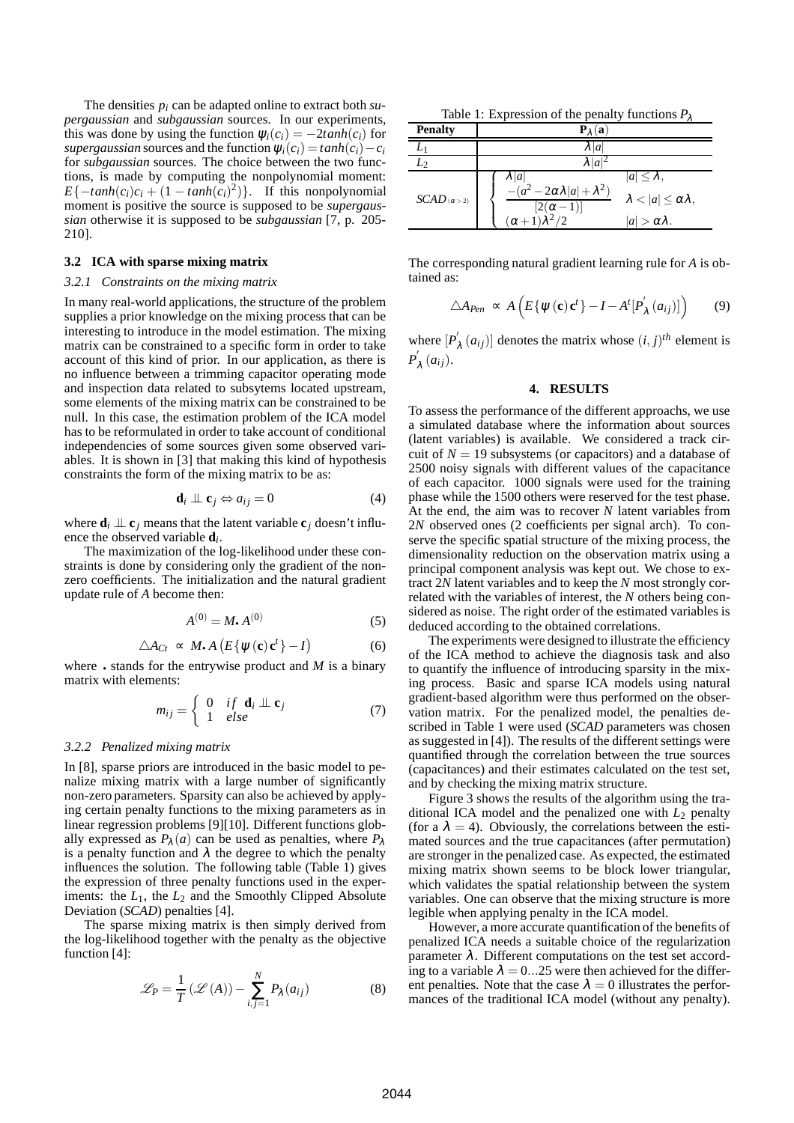The densities *p<sup>i</sup>* can be adapted online to extract both *supergaussian* and *subgaussian* sources. In our experiments, this was done by using the function  $\psi_i(c_i) = -2 \tanh(c_i)$  for *supergaussian* sources and the function  $\psi_i(c_i) = \tanh(c_i) - c_i$ for *subgaussian* sources. The choice between the two functions, is made by computing the nonpolynomial moment:  $E\{-tanh(c_i)c_i + (1 - \tanh(c_i)^2)\}$ . If this nonpolynomial moment is positive the source is supposed to be *supergaussian* otherwise it is supposed to be *subgaussian* [7, p. 205- 210].

# **3.2 ICA with sparse mixing matrix**

#### *3.2.1 Constraints on the mixing matrix*

In many real-world applications, the structure of the problem supplies a prior knowledge on the mixing process that can be interesting to introduce in the model estimation. The mixing matrix can be constrained to a specific form in order to take account of this kind of prior. In our application, as there is no influence between a trimming capacitor operating mode and inspection data related to subsytems located upstream, some elements of the mixing matrix can be constrained to be null. In this case, the estimation problem of the ICA model has to be reformulated in order to take account of conditional independencies of some sources given some observed variables. It is shown in [3] that making this kind of hypothesis constraints the form of the mixing matrix to be as:

$$
\mathbf{d}_i \perp \!\!\!\perp \mathbf{c}_j \Leftrightarrow a_{ij} = 0 \tag{4}
$$

where  $\mathbf{d}_i \perp \mathbf{c}_j$  means that the latent variable  $\mathbf{c}_i$  doesn't influence the observed variable **d***<sup>i</sup>* .

The maximization of the log-likelihood under these constraints is done by considering only the gradient of the nonzero coefficients. The initialization and the natural gradient update rule of *A* become then:

$$
A^{(0)} = M \cdot A^{(0)} \tag{5}
$$

$$
\triangle A_{Ct} \propto M \cdot A \left( E \{ \psi(\mathbf{c}) \mathbf{c}^t \} - I \right) \tag{6}
$$

where • stands for the entrywise product and *M* is a binary matrix with elements:

$$
m_{ij} = \begin{cases} 0 & \text{if } \mathbf{d}_i \perp \mathbf{c}_j \\ 1 & \text{else} \end{cases}
$$
 (7)

### *3.2.2 Penalized mixing matrix*

In [8], sparse priors are introduced in the basic model to penalize mixing matrix with a large number of significantly non-zero parameters. Sparsity can also be achieved by applying certain penalty functions to the mixing parameters as in linear regression problems [9][10]. Different functions globally expressed as  $P_{\lambda}(a)$  can be used as penalties, where  $P_{\lambda}$ is a penalty function and  $\lambda$  the degree to which the penalty influences the solution. The following table (Table 1) gives the expression of three penalty functions used in the experiments: the  $L_1$ , the  $L_2$  and the Smoothly Clipped Absolute Deviation (*SCAD*) penalties [4].

The sparse mixing matrix is then simply derived from the log-likelihood together with the penalty as the objective function [4]:

$$
\mathcal{L}_P = \frac{1}{T} \left( \mathcal{L}(A) \right) - \sum_{i,j=1}^{N} P_{\lambda}(a_{ij})
$$
 (8)

Table 1: Expression of the penalty functions *P*<sup>λ</sup>

| <b>Penalty</b>        |                                                                                                     |                                                                                        |
|-----------------------|-----------------------------------------------------------------------------------------------------|----------------------------------------------------------------------------------------|
|                       | $\lambda  a$                                                                                        |                                                                                        |
|                       |                                                                                                     |                                                                                        |
| $SCAD_{(\alpha > 2)}$ | $\lambda  a $<br>$-(a^2-2\alpha\lambda a +\lambda^2)$<br>$[2(\alpha-1)]$<br>$(\alpha+1)\lambda^2/2$ | $ a  < \lambda$ ,<br>$\lambda <  a  \leq \alpha \lambda$ ,<br>$ a  > \alpha \lambda$ . |

The corresponding natural gradient learning rule for *A* is obtained as:

$$
\triangle A_{Pen} \propto A \left( E \{ \psi(\mathbf{c}) \mathbf{c}^t \} - I - A^t [P'_\lambda(a_{ij})] \right) \tag{9}
$$

where  $[P'_{\lambda}(a_{ij})]$  denotes the matrix whose  $(i, j)^{th}$  element is  $P_{\lambda}^{'}\left(a_{ij}\right).$ 

# **4. RESULTS**

To assess the performance of the different approachs, we use a simulated database where the information about sources (latent variables) is available. We considered a track circuit of  $N = 19$  subsystems (or capacitors) and a database of 2500 noisy signals with different values of the capacitance of each capacitor. 1000 signals were used for the training phase while the 1500 others were reserved for the test phase. At the end, the aim was to recover *N* latent variables from 2*N* observed ones (2 coefficients per signal arch). To conserve the specific spatial structure of the mixing process, the dimensionality reduction on the observation matrix using a principal component analysis was kept out. We chose to extract 2*N* latent variables and to keep the *N* most strongly correlated with the variables of interest, the *N* others being considered as noise. The right order of the estimated variables is deduced according to the obtained correlations.

The experiments were designed to illustrate the efficiency of the ICA method to achieve the diagnosis task and also to quantify the influence of introducing sparsity in the mixing process. Basic and sparse ICA models using natural gradient-based algorithm were thus performed on the observation matrix. For the penalized model, the penalties described in Table 1 were used (*SCAD* parameters was chosen as suggested in [4]). The results of the different settings were quantified through the correlation between the true sources (capacitances) and their estimates calculated on the test set, and by checking the mixing matrix structure.

Figure 3 shows the results of the algorithm using the traditional ICA model and the penalized one with  $L_2$  penalty (for a  $\lambda = 4$ ). Obviously, the correlations between the estimated sources and the true capacitances (after permutation) are stronger in the penalized case. As expected, the estimated mixing matrix shown seems to be block lower triangular, which validates the spatial relationship between the system variables. One can observe that the mixing structure is more legible when applying penalty in the ICA model.

However, a more accurate quantification of the benefits of penalized ICA needs a suitable choice of the regularization parameter  $\lambda$ . Different computations on the test set according to a variable  $\lambda = 0...25$  were then achieved for the different penalties. Note that the case  $\lambda = 0$  illustrates the performances of the traditional ICA model (without any penalty).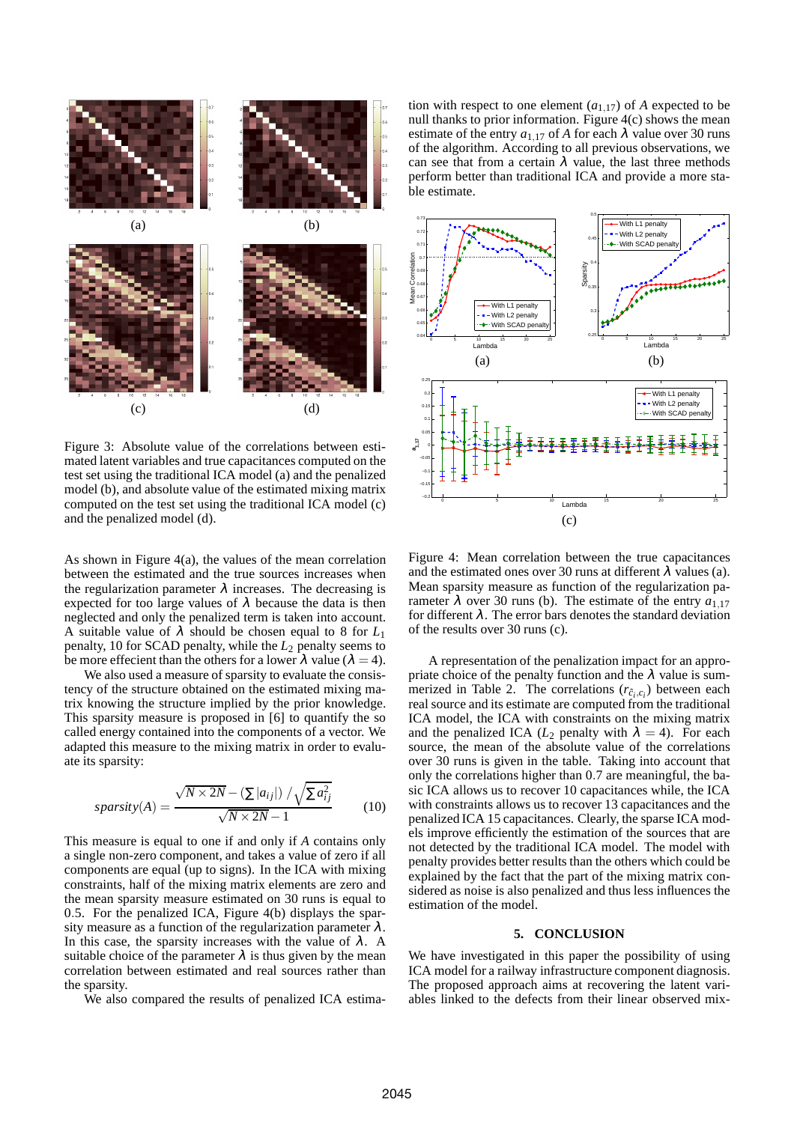

Figure 3: Absolute value of the correlations between estimated latent variables and true capacitances computed on the test set using the traditional ICA model (a) and the penalized model (b), and absolute value of the estimated mixing matrix computed on the test set using the traditional ICA model (c) and the penalized model (d).

As shown in Figure 4(a), the values of the mean correlation between the estimated and the true sources increases when the regularization parameter  $\lambda$  increases. The decreasing is expected for too large values of  $\lambda$  because the data is then neglected and only the penalized term is taken into account. A suitable value of <sup>λ</sup> should be chosen equal to 8 for *L*<sup>1</sup> penalty, 10 for SCAD penalty, while the *L*<sup>2</sup> penalty seems to be more effecient than the others for a lower  $\lambda$  value ( $\lambda = 4$ ).

We also used a measure of sparsity to evaluate the consistency of the structure obtained on the estimated mixing matrix knowing the structure implied by the prior knowledge. This sparsity measure is proposed in [6] to quantify the so called energy contained into the components of a vector. We adapted this measure to the mixing matrix in order to evaluate its sparsity:

$$
sparsity(A) = \frac{\sqrt{N \times 2N} - (\sum |a_{ij}|) / \sqrt{\sum a_{ij}^2}}{\sqrt{N \times 2N} - 1}
$$
 (10)

This measure is equal to one if and only if *A* contains only a single non-zero component, and takes a value of zero if all components are equal (up to signs). In the ICA with mixing constraints, half of the mixing matrix elements are zero and the mean sparsity measure estimated on 30 runs is equal to 0.5. For the penalized ICA, Figure 4(b) displays the sparsity measure as a function of the regularization parameter  $\lambda$ . In this case, the sparsity increases with the value of  $\lambda$ . A suitable choice of the parameter  $\lambda$  is thus given by the mean correlation between estimated and real sources rather than the sparsity.

We also compared the results of penalized ICA estima-

tion with respect to one element  $(a_{1,17})$  of *A* expected to be null thanks to prior information. Figure 4(c) shows the mean estimate of the entry  $a_{1,17}$  of *A* for each  $\lambda$  value over 30 runs of the algorithm. According to all previous observations, we can see that from a certain  $\lambda$  value, the last three methods perform better than traditional ICA and provide a more stable estimate.



Figure 4: Mean correlation between the true capacitances and the estimated ones over 30 runs at different  $\lambda$  values (a). Mean sparsity measure as function of the regularization parameter  $\lambda$  over 30 runs (b). The estimate of the entry  $a_{1,17}$ for different  $\lambda$ . The error bars denotes the standard deviation of the results over 30 runs (c).

A representation of the penalization impact for an appropriate choice of the penalty function and the  $\lambda$  value is summerized in Table 2. The correlations  $(r_{\hat{c}_i, c_i})$  between each real source and its estimate are computed from the traditional ICA model, the ICA with constraints on the mixing matrix and the penalized ICA ( $L_2$  penalty with  $\lambda = 4$ ). For each source, the mean of the absolute value of the correlations over 30 runs is given in the table. Taking into account that only the correlations higher than 0.7 are meaningful, the basic ICA allows us to recover 10 capacitances while, the ICA with constraints allows us to recover 13 capacitances and the penalized ICA 15 capacitances. Clearly, the sparse ICA models improve efficiently the estimation of the sources that are not detected by the traditional ICA model. The model with penalty provides better results than the others which could be explained by the fact that the part of the mixing matrix considered as noise is also penalized and thus less influences the estimation of the model.

## **5. CONCLUSION**

We have investigated in this paper the possibility of using ICA model for a railway infrastructure component diagnosis. The proposed approach aims at recovering the latent variables linked to the defects from their linear observed mix